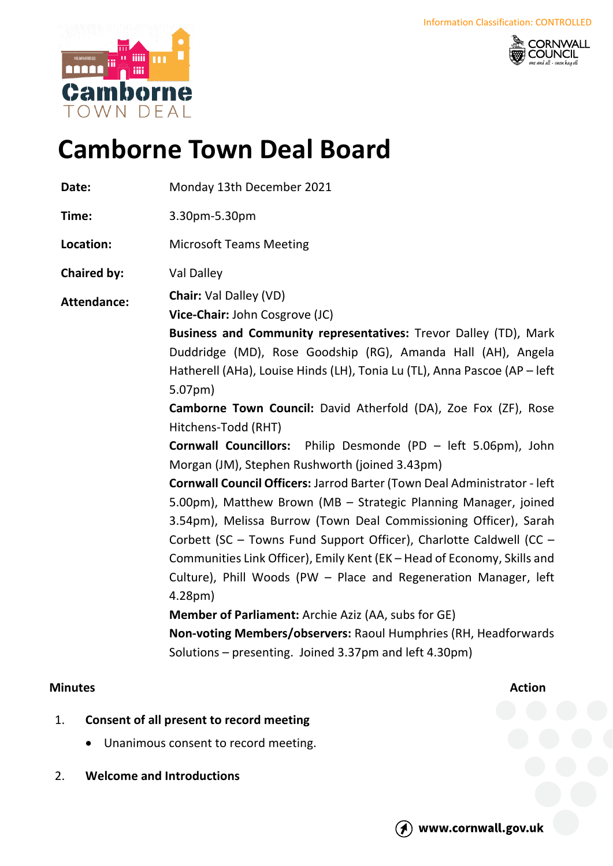



# **Camborne Town Deal Board**

**Date:** Monday 13th December 2021

**Time:** 3.30pm-5.30pm

**Location:** Microsoft Teams Meeting

**Chaired by:** Val Dalley

**Attendance: Chair:** Val Dalley (VD)

**Vice-Chair:** John Cosgrove (JC)

**Business and Community representatives:** Trevor Dalley (TD), Mark Duddridge (MD), Rose Goodship (RG), Amanda Hall (AH), Angela Hatherell (AHa), Louise Hinds (LH), Tonia Lu (TL), Anna Pascoe (AP – left 5.07pm)

**Camborne Town Council:** David Atherfold (DA), Zoe Fox (ZF), Rose Hitchens-Todd (RHT)

**Cornwall Councillors:** Philip Desmonde (PD – left 5.06pm), John Morgan (JM), Stephen Rushworth (joined 3.43pm)

**Cornwall Council Officers:** Jarrod Barter (Town Deal Administrator - left 5.00pm), Matthew Brown (MB – Strategic Planning Manager, joined 3.54pm), Melissa Burrow (Town Deal Commissioning Officer), Sarah Corbett (SC – Towns Fund Support Officer), Charlotte Caldwell (CC – Communities Link Officer), Emily Kent (EK – Head of Economy, Skills and Culture), Phill Woods (PW – Place and Regeneration Manager, left 4.28pm)

**Member of Parliament:** Archie Aziz (AA, subs for GE)

**Non-voting Members/observers:** Raoul Humphries (RH, Headforwards Solutions – presenting. Joined 3.37pm and left 4.30pm)

# **Minutes Action**

- 1. **Consent of all present to record meeting**
	- Unanimous consent to record meeting.
- 2. **Welcome and Introductions**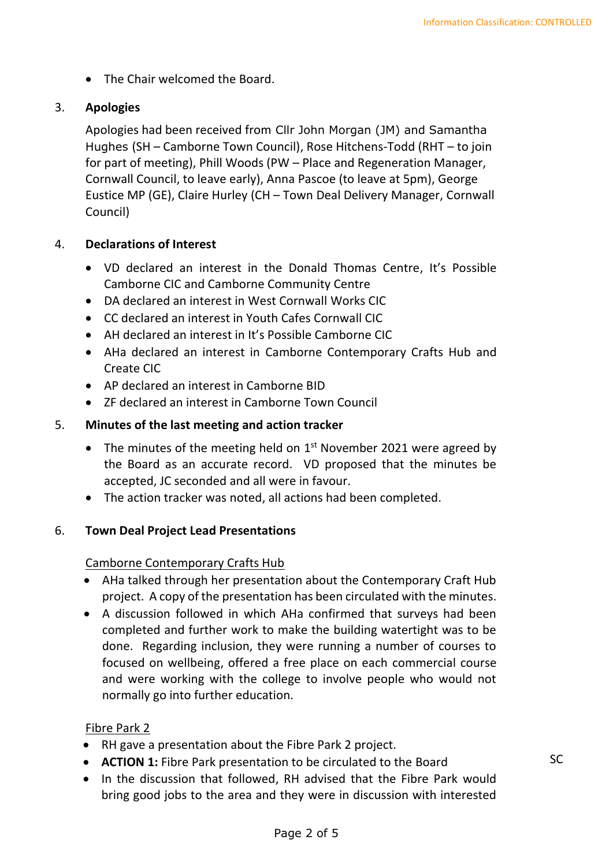• The Chair welcomed the Board.

# 3. **Apologies**

Apologies had been received from Cllr John Morgan (JM) and Samantha Hughes (SH – Camborne Town Council), Rose Hitchens-Todd (RHT – to join for part of meeting), Phill Woods (PW – Place and Regeneration Manager, Cornwall Council, to leave early), Anna Pascoe (to leave at 5pm), George Eustice MP (GE), Claire Hurley (CH – Town Deal Delivery Manager, Cornwall Council)

# 4. **Declarations of Interest**

- VD declared an interest in the Donald Thomas Centre, It's Possible Camborne CIC and Camborne Community Centre
- DA declared an interest in West Cornwall Works CIC
- CC declared an interest in Youth Cafes Cornwall CIC
- AH declared an interest in It's Possible Camborne CIC
- AHa declared an interest in Camborne Contemporary Crafts Hub and Create CIC
- AP declared an interest in Camborne BID
- ZF declared an interest in Camborne Town Council

# 5. **Minutes of the last meeting and action tracker**

- The minutes of the meeting held on  $1<sup>st</sup>$  November 2021 were agreed by the Board as an accurate record. VD proposed that the minutes be accepted, JC seconded and all were in favour.
- The action tracker was noted, all actions had been completed.

# 6. **Town Deal Project Lead Presentations**

# Camborne Contemporary Crafts Hub

- AHa talked through her presentation about the Contemporary Craft Hub project. A copy of the presentation has been circulated with the minutes.
- A discussion followed in which AHa confirmed that surveys had been completed and further work to make the building watertight was to be done. Regarding inclusion, they were running a number of courses to focused on wellbeing, offered a free place on each commercial course and were working with the college to involve people who would not normally go into further education.

# Fibre Park 2

- RH gave a presentation about the Fibre Park 2 project.
- **ACTION 1:** Fibre Park presentation to be circulated to the Board
- In the discussion that followed, RH advised that the Fibre Park would bring good jobs to the area and they were in discussion with interested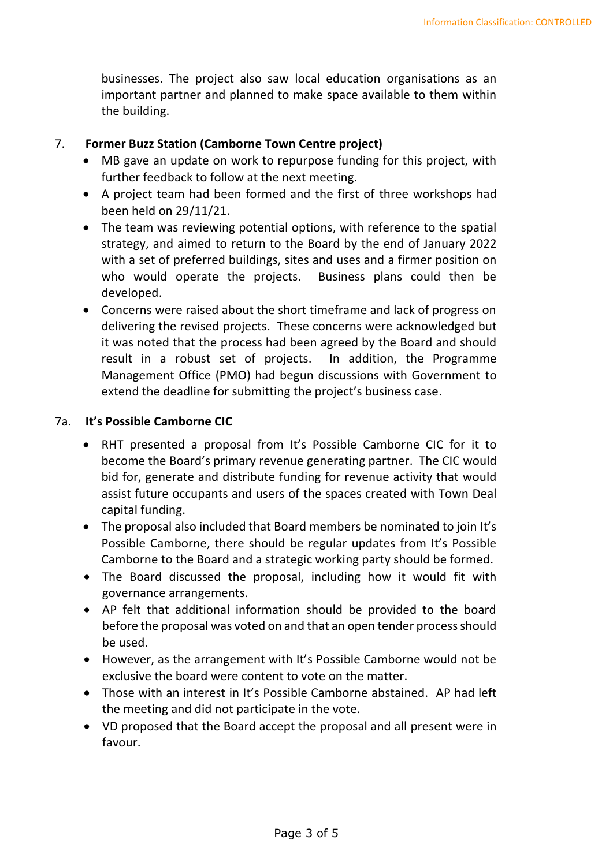businesses. The project also saw local education organisations as an important partner and planned to make space available to them within the building.

#### 7. **Former Buzz Station (Camborne Town Centre project)**

- MB gave an update on work to repurpose funding for this project, with further feedback to follow at the next meeting.
- A project team had been formed and the first of three workshops had been held on 29/11/21.
- The team was reviewing potential options, with reference to the spatial strategy, and aimed to return to the Board by the end of January 2022 with a set of preferred buildings, sites and uses and a firmer position on who would operate the projects. Business plans could then be developed.
- Concerns were raised about the short timeframe and lack of progress on delivering the revised projects. These concerns were acknowledged but it was noted that the process had been agreed by the Board and should result in a robust set of projects. In addition, the Programme Management Office (PMO) had begun discussions with Government to extend the deadline for submitting the project's business case.

#### 7a. **It's Possible Camborne CIC**

- RHT presented a proposal from It's Possible Camborne CIC for it to become the Board's primary revenue generating partner. The CIC would bid for, generate and distribute funding for revenue activity that would assist future occupants and users of the spaces created with Town Deal capital funding.
- The proposal also included that Board members be nominated to join It's Possible Camborne, there should be regular updates from It's Possible Camborne to the Board and a strategic working party should be formed.
- The Board discussed the proposal, including how it would fit with governance arrangements.
- AP felt that additional information should be provided to the board before the proposal was voted on and that an open tender process should be used.
- However, as the arrangement with It's Possible Camborne would not be exclusive the board were content to vote on the matter.
- Those with an interest in It's Possible Camborne abstained. AP had left the meeting and did not participate in the vote.
- VD proposed that the Board accept the proposal and all present were in favour.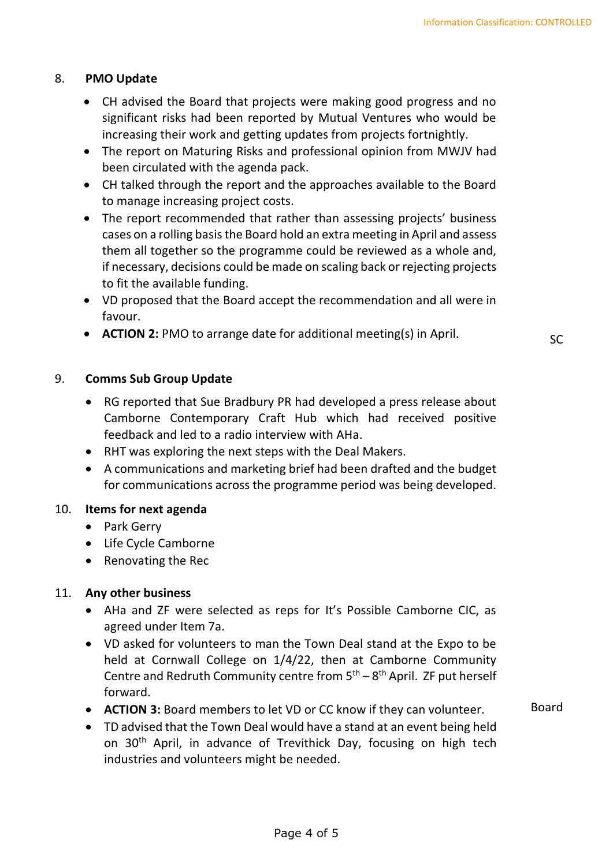Board

# 8. **PMO Update**

- CH advised the Board that projects were making good progress and no significant risks had been reported by Mutual Ventures who would be increasing their work and getting updates from projects fortnightly.
- The report on Maturing Risks and professional opinion from MWJV had been circulated with the agenda pack.
- CH talked through the report and the approaches available to the Board to manage increasing project costs.
- The report recommended that rather than assessing projects' business cases on a rolling basis the Board hold an extra meeting in April and assess them all together so the programme could be reviewed as a whole and, if necessary, decisions could be made on scaling back or rejecting projects to fit the available funding.
- VD proposed that the Board accept the recommendation and all were in favour.
- **ACTION 2:** PMO to arrange date for additional meeting(s) in April. SC

# 9. **Comms Sub Group Update**

- RG reported that Sue Bradbury PR had developed a press release about Camborne Contemporary Craft Hub which had received positive feedback and led to a radio interview with AHa.
- RHT was exploring the next steps with the Deal Makers.
- A communications and marketing brief had been drafted and the budget for communications across the programme period was being developed.

#### 10. **Items for next agenda**

- Park Gerry
- Life Cycle Camborne
- Renovating the Rec

# 11. **Any other business**

- AHa and ZF were selected as reps for It's Possible Camborne CIC, as agreed under Item 7a.
- VD asked for volunteers to man the Town Deal stand at the Expo to be held at Cornwall College on 1/4/22, then at Camborne Community Centre and Redruth Community centre from  $5<sup>th</sup> - 8<sup>th</sup>$  April. ZF put herself forward.
- **ACTION 3:** Board members to let VD or CC know if they can volunteer.
- TD advised that the Town Deal would have a stand at an event being held on 30<sup>th</sup> April, in advance of Trevithick Day, focusing on high tech industries and volunteers might be needed.